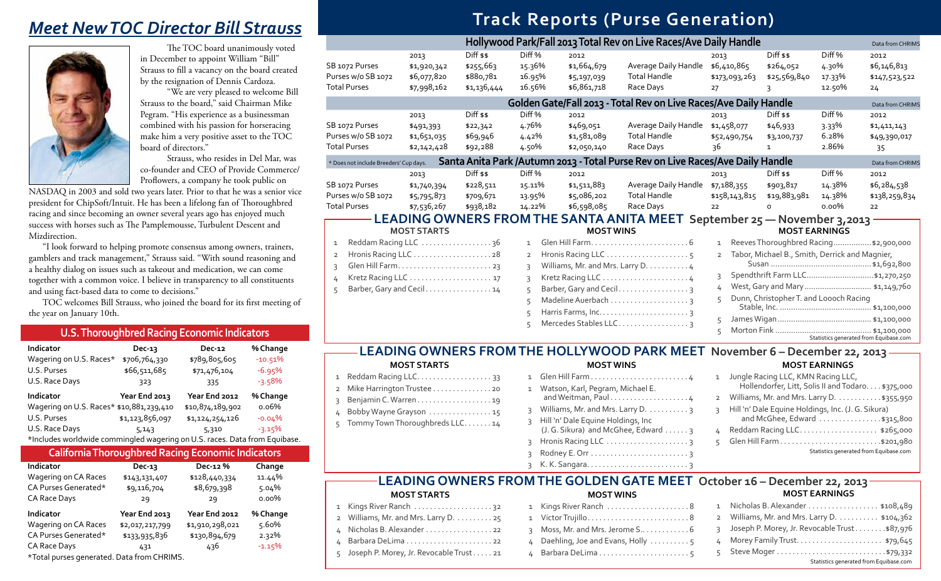#### 2013 Diff \$\$ Diff % 2012 ndle \$6,410,865 \$264,052 4.30% \$6,146,813 \$173,093,263 \$25,569,840 17.33% \$147,523,522 Race Days 27 3 12.50% 24 **Ave Daily Handle Ave Daily Handle Park 2013 Total Rev on Live Rev** *Data from CHRIMS* **2014 Races/Ave Daily Handle Construction Catal Christmas Races/Ave Daily Handle** 2013 Diff \$\$ Diff % 2012 ndle \$1,458,077 \$46,933 3.33% \$1,411,143 \$52,490,754 \$3,100,737 6.28% \$49,390,017  $\frac{1}{35}$  Race Days  $\frac{36}{1}$  1 2.86%  $\frac{35}{1}$ **Races/Ave Daily Handle Consumers Races/Ave Daily Handle Data from CHRIMS** 2013 Diff \$\$ Diff % 2012 ndle \$7,188,355 \$903,817 14.38% \$6,284,538  $$158,143,815$   $$19,883,981$   $14.38\%$   $$138,259,834$ Race Days 22 0 0.00% 22 **MOST EARNINGS** 1 ReevesThoroughbred Racing.................\$2,900,000 2 Tabor, Michael B., Smith, Derrick and Magnier, Susan .............................................\$1,692,800 3 Spendthrift Farm LLC..............................\$1,270,250 4 West,Gary and Mary.............................. \$1,149,760 5 Dunn, ChristopherT. and Loooch Racing Stable, Inc. ......................................... \$1,100,000 September 25 – November 3,2013

# **Track Reports (Purse Generation)**

| Indicator                                                                  | Dec-13          | $Dec-12$         | % Change  |
|----------------------------------------------------------------------------|-----------------|------------------|-----------|
| Wagering on U.S. Races*                                                    | \$706,764,330   | \$789,805,605    | $-10.51%$ |
| U.S. Purses                                                                | \$66,511,685    | \$71,476,104     | $-6.95%$  |
| U.S. Race Days                                                             | 323             | 335              | $-3.58%$  |
| Indicator                                                                  | Year End 2013   | Year End 2012    | % Change  |
| Wagering on U.S. Races* \$10,881,239,410                                   |                 | \$10,874,189,902 | 0.06%     |
| U.S. Purses                                                                | \$1,123,856,097 | \$1,124,254,126  | $-0.04%$  |
| U.S. Race Days                                                             | 5,143           | 5,310            | $-3.15%$  |
| *Includes worldwide commingled wagering on U.S. races. Data from Equibase. |                 |                  |           |

#### **U.S. Thoroughbred Racing Economic Indicators**

# *Meet New TOC Director Bill Strauss*



The TOC board unanimously voted in December to appoint William "Bill" Strauss to fill a vacancy on the board created by the resignation of Dennis Cardoza.

"We are very pleased to welcome Bill Strauss to the board," said Chairman Mike Pegram. "His experience as a businessman combined with his passion for horseracing make him a very positive asset to the TOC board of directors."

Strauss, who resides in Del Mar, was co-founder and CEO of Provide Commerce/ Proflowers, a company he took public on

NASDAQ in 2003 and sold two years later. Prior to that he was a senior vice president for ChipSoft/Intuit. He has been a lifelong fan of Thoroughbred racing and since becoming an owner several years ago has enjoyed much success with horses such as The Pamplemousse, Turbulent Descent and Mizdirection.

"I look forward to helping promote consensus among owners, trainers, gamblers and track management," Strauss said. "With sound reasoning and a healthy dialog on issues such as takeout and medication, we can come together with a common voice. I believe in transparency to all constituents and using fact-based data to come to decisions."

TOC welcomes Bill Strauss, who joined the board for its first meeting of the year on January 10th.

| 1 | Jungle Racing LLC, KMN Racing LLC,<br>Hollendorfer, Litt, Solis II and Todaro. \$375,000 |
|---|------------------------------------------------------------------------------------------|
|   | 2 Williams, Mr. and Mrs. Larry D. \$355,950                                              |
|   | 3 Hill 'n' Dale Equine Holdings, Inc. (J. G. Sikura)<br>and McGhee, Edward \$315,800     |
|   | 4 Reddam Racing LLC\$265,000                                                             |
|   | Glen Hill Farm\$201,980                                                                  |
|   | Statistics generated from Equibase.com                                                   |

| Indicator                                  | $Dec-13$        | Dec-12 %        | Change   |
|--------------------------------------------|-----------------|-----------------|----------|
| Wagering on CA Races                       | \$143,131,407   | \$128,440,334   | 11.44%   |
| CA Purses Generated*                       | \$9,116,704     | \$8,679,398     | 5.04%    |
| CA Race Days                               | 29              | 29              | $0.00\%$ |
| Indicator                                  | Year End 2013   | Year End 2012   | % Change |
| Wagering on CA Races                       | \$2,017,217,799 | \$1,910,298,021 | 5.60%    |
| CA Purses Generated*                       | \$133,935,836   | \$130,894,679   | 2.32%    |
| CA Race Days                               | 431             | 436             | $-1.15%$ |
| *Total purses generated. Data from CHRIMS. |                 |                 |          |

#### **California Thoroughbred Racing Economic Indicators**

|                                                             |                                                   |                                                      |                                                 |                                                   | Hollywood Park/Fall 2013 Total Rev on Live Races/A                                                |
|-------------------------------------------------------------|---------------------------------------------------|------------------------------------------------------|-------------------------------------------------|---------------------------------------------------|---------------------------------------------------------------------------------------------------|
| SB 1072 Purses<br>Purses w/o SB 1072<br><b>Total Purses</b> | 2013<br>\$1,920,342<br>\$6,077,820<br>\$7,998,162 | $Diff$ \$\$<br>\$255,663<br>\$880,781<br>\$1,136,444 | Diff %<br>15.36%<br>16.95%<br>16.56%            | 2012<br>\$1,664,679<br>\$5,197,039<br>\$6,861,718 | Average Daily Har<br><b>Total Handle</b><br>Race Days                                             |
|                                                             |                                                   |                                                      |                                                 |                                                   | Golden Gate/Fall 2013 - Total Rev on Live I                                                       |
| SB 1072 Purses<br>Purses w/o SB 1072<br><b>Total Purses</b> | 2013<br>\$491,393<br>\$1,651,035<br>\$2,142,428   | $Diff$ \$\$<br>\$22,342<br>\$69,946<br>\$92,288      | Diff <sub>%</sub><br>4.76%<br>4.42%<br>4.50%    | 2012<br>\$469,051<br>\$1,581,089<br>\$2,050,140   | Average Daily Har<br><b>Total Handle</b><br>Race Days                                             |
| * Does not include Breeders' Cup days.                      |                                                   |                                                      |                                                 |                                                   | Santa Anita Park / Autumn 2013 - Total Purse Rev on Live I                                        |
| SB 1072 Purses<br>Purses w/o SB 1072<br><b>Total Purses</b> | 2013<br>\$1,740,394<br>\$5,795,873<br>\$7,536,267 | $Diff$ \$\$<br>\$228,511<br>\$709,671<br>\$938,182   | Diff <sub>%</sub><br>15.11%<br>13.95%<br>14.22% | 2012<br>\$1,511,883<br>\$5,086,202<br>\$6,598,085 | Average Daily Har<br><b>Total Handle</b><br>Race Days<br>LEADING OWNERS FROM THE SANTA ANITA MEET |
|                                                             | <b>MOST STARTS</b>                                |                                                      |                                                 | <b>MOST WINS</b>                                  |                                                                                                   |
| 1 Reddam Racing LLC                                         |                                                   | $26 -$                                               |                                                 | 1 Glen Hill Farm                                  |                                                                                                   |

### Reddam Racing LLC  $\ldots \ldots \ldots \ldots$  36 2 Hronis Racing LLC . 28 3 Glen Hill Farm . . 23 4 Kretz Racing LLC . . 17 5 Barber, Gary and Cecil . . . . . . . . . . . . . . . 14

| 3 Williams, Mr. and Mrs. Larry D. 4 |
|-------------------------------------|
|                                     |
| 5 Barber, Gary and Cecil 3          |
| 5 Madeline Auerbach 3               |
|                                     |
| 5 Mercedes Stables LLC. 3           |
|                                     |

5 JamesWigan.......................................... \$1,100,000 5 Morton Fink ........................................... \$1,100,000 Statistics generated from Equibase.com

#### **MOST WINS**

|              | 1 Glen Hill Farm4                                                          |
|--------------|----------------------------------------------------------------------------|
| $\mathbf{1}$ | Watson, Karl, Pegram, Michael E.<br>and Weitman, Paul4                     |
| $\mathbf{R}$ | Williams, Mr. and Mrs. Larry D. 3                                          |
| $\mathbf{R}$ | Hill 'n' Dale Equine Holdings, Inc.<br>(J. G. Sikura) and McGhee, Edward 3 |
| ς            |                                                                            |
| ς            |                                                                            |
|              |                                                                            |

#### **MOST STARTS**

| 2 Mike Harrington Trustee 20     |  |
|----------------------------------|--|
| 3 Benjamin C. Warren 19          |  |
| 4 Bobby Wayne Grayson 15         |  |
| 5 Tommy Town Thoroughbreds LLC14 |  |
|                                  |  |

# **MOST EARNINGS**

### **LEADING OWNERS FROM THE HOLLYWOOD PARK MEET November 6 – December 22, 2013**

|                                           | 1 Kings River Ranch              |
|-------------------------------------------|----------------------------------|
| 2 Williams, Mr. and Mrs. Larry D. 25      | 1 Victor Trujillo                |
| 4 Nicholas B. Alexander 22                | 3 Moss, Mr. and Mrs. Jerome S    |
|                                           | 4 Daehling, Joe and Evans, Holly |
| 5 Joseph P. Morey, Jr. Revocable Trust 21 | 4 Barbara DeLima                 |
|                                           |                                  |

| . 8 | 1 Nicholas B. Alexander \$108,489               |
|-----|-------------------------------------------------|
| . 8 | 2 Williams, Mr. and Mrs. Larry D. \$104,362     |
| . 6 | 3 Joseph P. Morey, Jr. Revocable Trust \$87,976 |
| . 5 | 4 Morey Family Trust \$79,645                   |
| . 5 |                                                 |
|     | Statistics generated from Equibase.com          |

#### **MOST WINS MOST STARTS LEADING OWNERS FROM THE GOLDEN GATE MEET October 16 – December 22, 2013**

# **MOST EARNINGS**